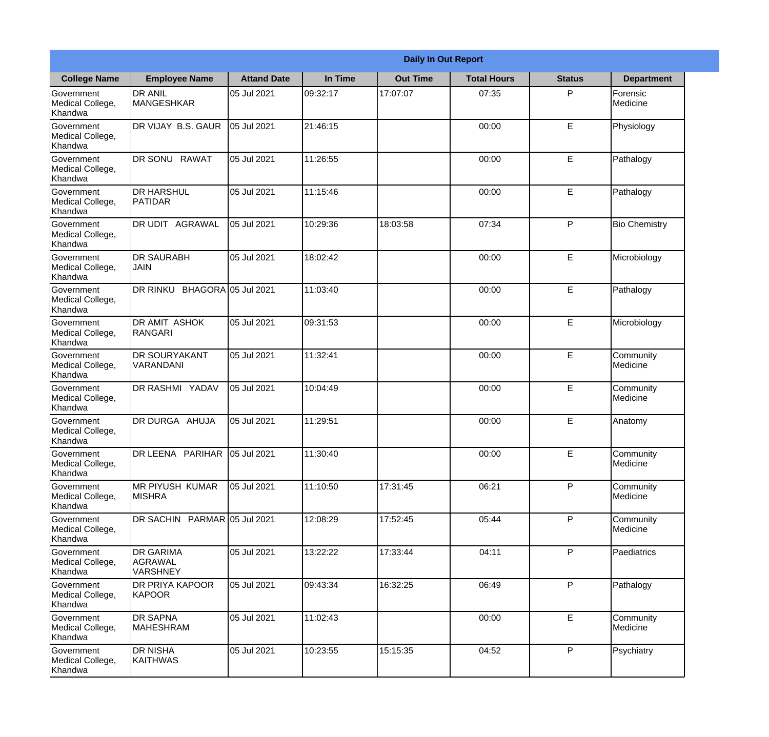|                                                  | <b>Daily In Out Report</b>               |                    |          |                 |                    |               |                       |  |  |
|--------------------------------------------------|------------------------------------------|--------------------|----------|-----------------|--------------------|---------------|-----------------------|--|--|
| <b>College Name</b>                              | <b>Employee Name</b>                     | <b>Attand Date</b> | In Time  | <b>Out Time</b> | <b>Total Hours</b> | <b>Status</b> | <b>Department</b>     |  |  |
| Government<br>Medical College,<br>Khandwa        | <b>DR ANIL</b><br><b>MANGESHKAR</b>      | 05 Jul 2021        | 09:32:17 | 17:07:07        | 07:35              | P             | Forensic<br>Medicine  |  |  |
| Government<br>Medical College,<br>Khandwa        | DR VIJAY B.S. GAUR                       | 05 Jul 2021        | 21:46:15 |                 | 00:00              | E             | Physiology            |  |  |
| <b>Government</b><br>Medical College,<br>Khandwa | DR SONU<br><b>RAWAT</b>                  | 05 Jul 2021        | 11:26:55 |                 | 00:00              | E             | Pathalogy             |  |  |
| Government<br>Medical College,<br>Khandwa        | <b>DR HARSHUL</b><br>PATIDAR             | 05 Jul 2021        | 11:15:46 |                 | 00:00              | E             | Pathalogy             |  |  |
| Government<br>Medical College,<br>Khandwa        | <b>IDR UDIT AGRAWAL</b>                  | 05 Jul 2021        | 10:29:36 | 18:03:58        | 07:34              | P             | <b>Bio Chemistry</b>  |  |  |
| <b>Sovernment</b><br>Medical College,<br>Khandwa | <b>DR SAURABH</b><br><b>JAIN</b>         | 05 Jul 2021        | 18:02:42 |                 | 00:00              | E             | Microbiology          |  |  |
| Government<br>Medical College,<br>Khandwa        | DR RINKU BHAGORA 05 Jul 2021             |                    | 11:03:40 |                 | 00:00              | E             | Pathalogy             |  |  |
| Government<br>Medical College,<br>Khandwa        | <b>DR AMIT ASHOK</b><br>RANGARI          | 05 Jul 2021        | 09:31:53 |                 | 00:00              | E             | Microbiology          |  |  |
| Government<br>Medical College,<br>Khandwa        | <b>DR SOURYAKANT</b><br>VARANDANI        | 05 Jul 2021        | 11:32:41 |                 | 00:00              | E             | Community<br>Medicine |  |  |
| Government<br>Medical College,<br>Khandwa        | <b>DR RASHMI YADAV</b>                   | 05 Jul 2021        | 10:04:49 |                 | 00:00              | E             | Community<br>Medicine |  |  |
| Government<br>Medical College,<br>Khandwa        | DR DURGA AHUJA                           | 05 Jul 2021        | 11:29:51 |                 | 00:00              | E             | Anatomy               |  |  |
| Government<br>Medical College,<br>Khandwa        | DR LEENA PARIHAR 05 Jul 2021             |                    | 11:30:40 |                 | 00:00              | E             | Community<br>Medicine |  |  |
| Government<br>Medical College,<br>Khandwa        | <b>MR PIYUSH KUMAR</b><br><b>MISHRA</b>  | 05 Jul 2021        | 11:10:50 | 17:31:45        | 06:21              | P             | Community<br>Medicine |  |  |
| Government<br>Medical College,<br>Khandwa        | DR SACHIN PARMAR 05 Jul 2021             |                    | 12:08:29 | 17:52:45        | 05:44              | P             | Community<br>Medicine |  |  |
| Government<br>Medical College,<br>Khandwa        | <b>IDR GARIMA</b><br>AGRAWAL<br>VARSHNEY | 05 Jul 2021        | 13:22:22 | 17:33:44        | 04:11              | P             | Paediatrics           |  |  |
| Government<br>Medical College,<br>Khandwa        | <b>DR PRIYA KAPOOR</b><br><b>KAPOOR</b>  | 05 Jul 2021        | 09:43:34 | 16:32:25        | 06:49              | P             | Pathalogy             |  |  |
| Government<br>Medical College,<br>Khandwa        | <b>DR SAPNA</b><br>MAHESHRAM             | 05 Jul 2021        | 11:02:43 |                 | 00:00              | E             | Community<br>Medicine |  |  |
| Government<br>Medical College,<br>Khandwa        | <b>DR NISHA</b><br>KAITHWAS              | 05 Jul 2021        | 10:23:55 | 15:15:35        | 04:52              | P             | Psychiatry            |  |  |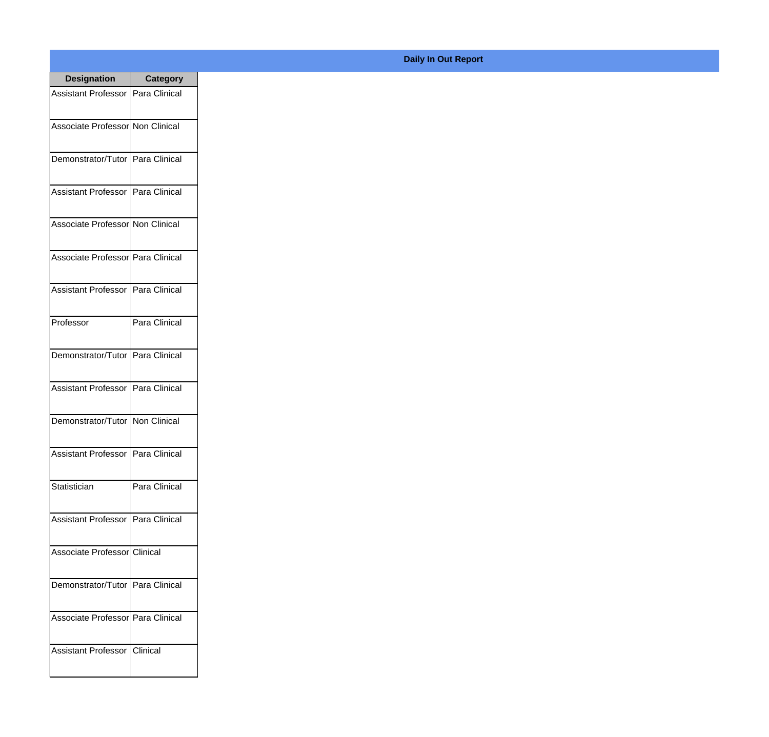| <b>Designation</b>                  | <b>Category</b> |
|-------------------------------------|-----------------|
| Assistant Professor   Para Clinical |                 |
| Associate Professor Non Clinical    |                 |
| Demonstrator/Tutor   Para Clinical  |                 |
| Assistant Professor   Para Clinical |                 |
| Associate Professor Non Clinical    |                 |
| Associate Professor   Para Clinical |                 |
| Assistant Professor   Para Clinical |                 |
| Professor                           | Para Clinical   |
| Demonstrator/Tutor   Para Clinical  |                 |
| Assistant Professor   Para Clinical |                 |
| Demonstrator/Tutor   Non Clinical   |                 |
| Assistant Professor   Para Clinical |                 |
| Statistician                        | Para Clinical   |
| Assistant Professor   Para Clinical |                 |
| Associate Professor Clinical        |                 |
| Demonstrator/Tutor   Para Clinical  |                 |
| Associate Professor Para Clinical   |                 |
| Assistant Professor   Clinical      |                 |

## **Daily In Out Report**